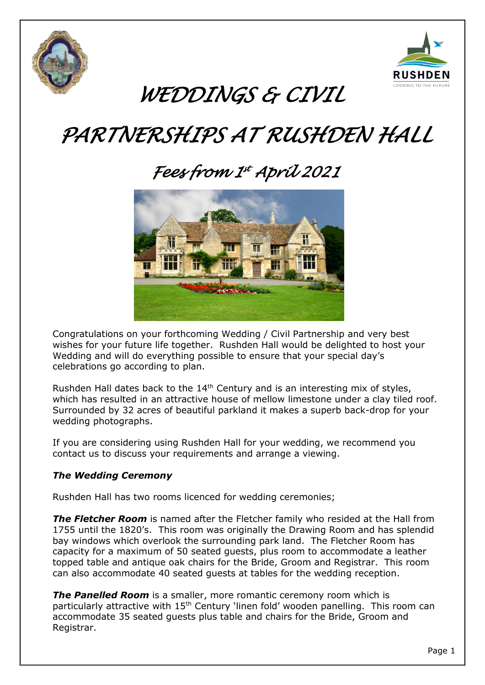



# *WEDDINGS & CIVIL*

# *PARTNERSHIPS AT RUSHDEN HALL*

# *Fees from 1 st April 2021*



Congratulations on your forthcoming Wedding / Civil Partnership and very best wishes for your future life together. Rushden Hall would be delighted to host your Wedding and will do everything possible to ensure that your special day's celebrations go according to plan.

Rushden Hall dates back to the 14<sup>th</sup> Century and is an interesting mix of styles, which has resulted in an attractive house of mellow limestone under a clay tiled roof. Surrounded by 32 acres of beautiful parkland it makes a superb back-drop for your wedding photographs.

If you are considering using Rushden Hall for your wedding, we recommend you contact us to discuss your requirements and arrange a viewing.

### *The Wedding Ceremony*

Rushden Hall has two rooms licenced for wedding ceremonies;

*The Fletcher Room* is named after the Fletcher family who resided at the Hall from 1755 until the 1820's. This room was originally the Drawing Room and has splendid bay windows which overlook the surrounding park land. The Fletcher Room has capacity for a maximum of 50 seated guests, plus room to accommodate a leather topped table and antique oak chairs for the Bride, Groom and Registrar. This room can also accommodate 40 seated guests at tables for the wedding reception.

*The Panelled Room* is a smaller, more romantic ceremony room which is particularly attractive with 15<sup>th</sup> Century 'linen fold' wooden panelling. This room can accommodate 35 seated guests plus table and chairs for the Bride, Groom and Registrar.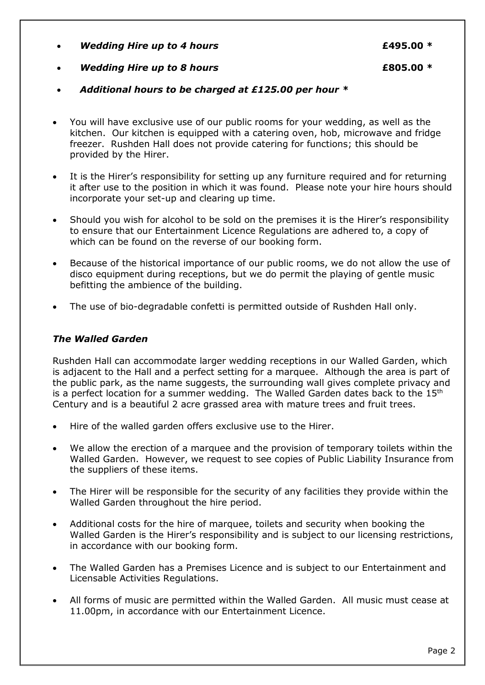- *Wedding Hire up to 4 hours* **£495.00 \***
- *Wedding Hire up to 8 hours* **£805.00 \***
- *Additional hours to be charged at £125.00 per hour \**
- You will have exclusive use of our public rooms for your wedding, as well as the kitchen. Our kitchen is equipped with a catering oven, hob, microwave and fridge freezer. Rushden Hall does not provide catering for functions; this should be provided by the Hirer.
- It is the Hirer's responsibility for setting up any furniture required and for returning it after use to the position in which it was found. Please note your hire hours should incorporate your set-up and clearing up time.
- Should you wish for alcohol to be sold on the premises it is the Hirer's responsibility to ensure that our Entertainment Licence Regulations are adhered to, a copy of which can be found on the reverse of our booking form.
- Because of the historical importance of our public rooms, we do not allow the use of disco equipment during receptions, but we do permit the playing of gentle music befitting the ambience of the building.
- The use of bio-degradable confetti is permitted outside of Rushden Hall only.

## *The Walled Garden*

Rushden Hall can accommodate larger wedding receptions in our Walled Garden, which is adjacent to the Hall and a perfect setting for a marquee. Although the area is part of the public park, as the name suggests, the surrounding wall gives complete privacy and is a perfect location for a summer wedding. The Walled Garden dates back to the  $15<sup>th</sup>$ Century and is a beautiful 2 acre grassed area with mature trees and fruit trees.

- Hire of the walled garden offers exclusive use to the Hirer.
- We allow the erection of a marquee and the provision of temporary toilets within the Walled Garden. However, we request to see copies of Public Liability Insurance from the suppliers of these items.
- The Hirer will be responsible for the security of any facilities they provide within the Walled Garden throughout the hire period.
- Additional costs for the hire of marquee, toilets and security when booking the Walled Garden is the Hirer's responsibility and is subject to our licensing restrictions, in accordance with our booking form.
- The Walled Garden has a Premises Licence and is subject to our Entertainment and Licensable Activities Regulations.
- All forms of music are permitted within the Walled Garden. All music must cease at 11.00pm, in accordance with our Entertainment Licence.